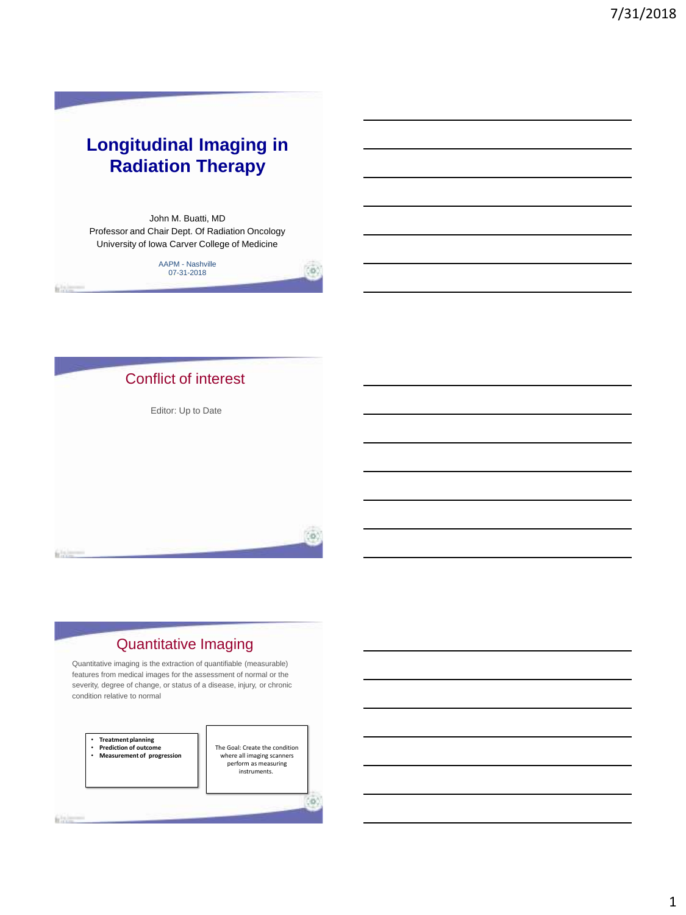# **Longitudinal Imaging in Radiation Therapy**

John M. Buatti, MD Professor and Chair Dept. Of Radiation Oncology University of Iowa Carver College of Medicine

### AAPM - Nashville 07-31-2018

(0)



### Quantitative Imaging

Quantitative imaging is the extraction of quantifiable (measurable) features from medical images for the assessment of normal or the severity, degree of change, or status of a disease, injury, or chronic condition relative to normal



• **Prediction of outcome** • **Measurement of progression** The Goal: Create the condition where all imaging scanners perform as measuring<br>instruments.

(B)

**Silvers**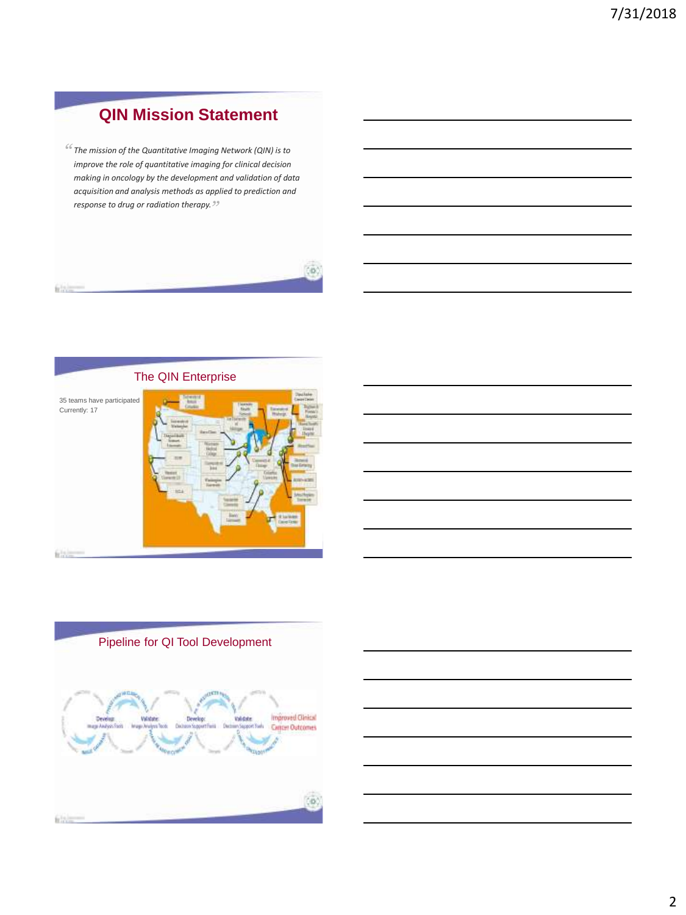# **QIN Mission Statement**

*The mission of the Quantitative Imaging Network (QIN) is to " improve the role of quantitative imaging for clinical decision making in oncology by the development and validation of data acquisition and analysis methods as applied to prediction and response to drug or radiation therapy. "*







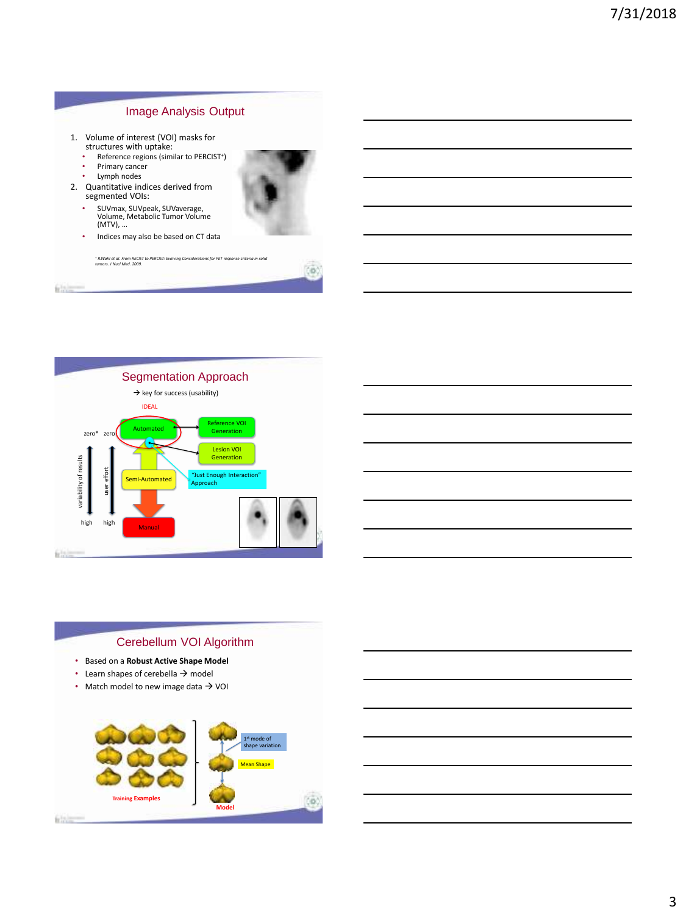

- Primary cancer
- Lymph nodes

**Children** 

- 2. Quantitative indices derived from segmented VOIs:
	- SUVmax, SUVpeak, SUVaverage, Volume, Metabolic Tumor Volume (MTV), …
	- Indices may also be based on CT data

*<sup>+</sup> R.Wahl et al. From RECIST to PERCIST: Evolving Considerations for PET response criteria in solid tumors. J Nucl Med. 2009.*





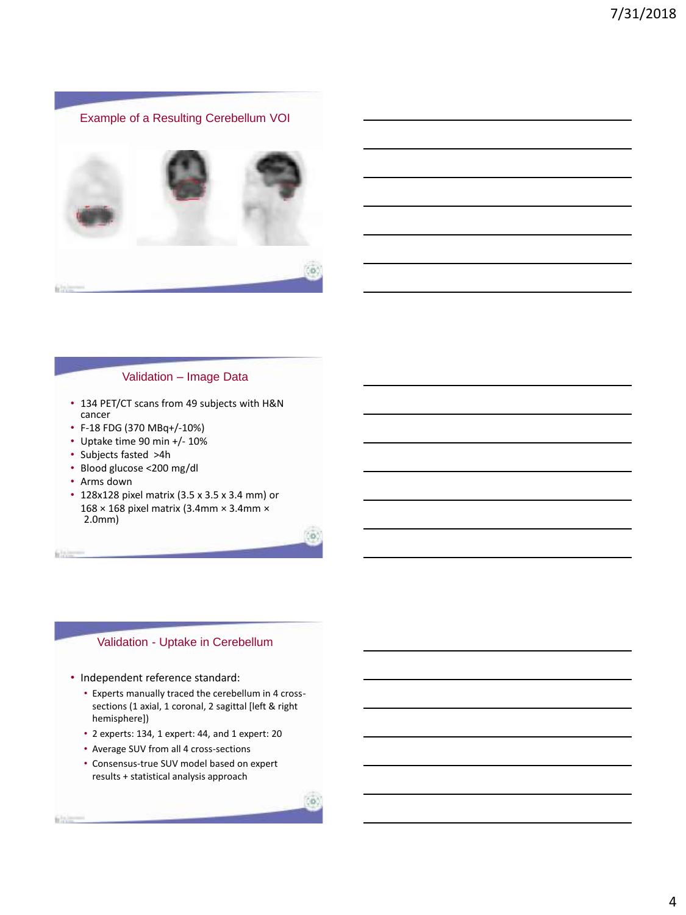

#### Validation – Image Data

- 134 PET/CT scans from 49 subjects with H&N cancer
- F-18 FDG (370 MBq+/-10%)
- Uptake time 90 min +/- 10%
- Subjects fasted >4h
- Blood glucose <200 mg/dl
- Arms down

 $65 -$ 

• 128x128 pixel matrix (3.5 x 3.5 x 3.4 mm) or 168 × 168 pixel matrix (3.4mm × 3.4mm × 2.0mm)

### Validation - Uptake in Cerebellum

- Independent reference standard:
	- Experts manually traced the cerebellum in 4 crosssections (1 axial, 1 coronal, 2 sagittal [left & right hemisphere])

**FB** 

- 2 experts: 134, 1 expert: 44, and 1 expert: 20
- Average SUV from all 4 cross-sections
- Consensus-true SUV model based on expert results + statistical analysis approach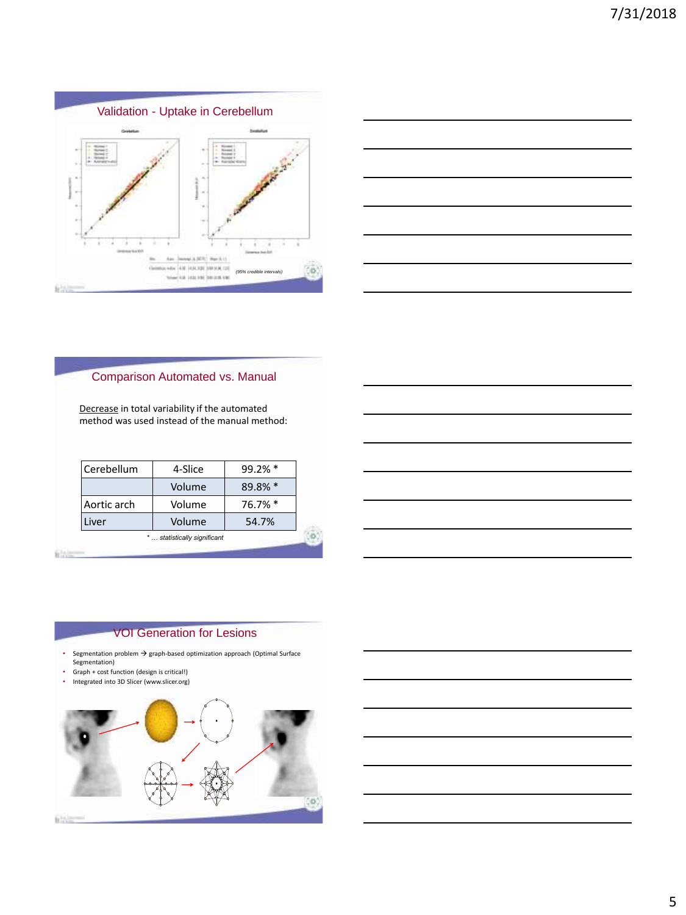



### Comparison Automated vs. Manual

Decrease in total variability if the automated method was used instead of the manual method:

| Cerebellum                   | 4-Slice | 99.2% * |  |  |
|------------------------------|---------|---------|--|--|
|                              | Volume  | 89.8% * |  |  |
| Aortic arch                  | Volume  | 76.7% * |  |  |
| .iver                        | Volume  | 54.7%   |  |  |
| *  statistically significant |         |         |  |  |

#### $65 -$

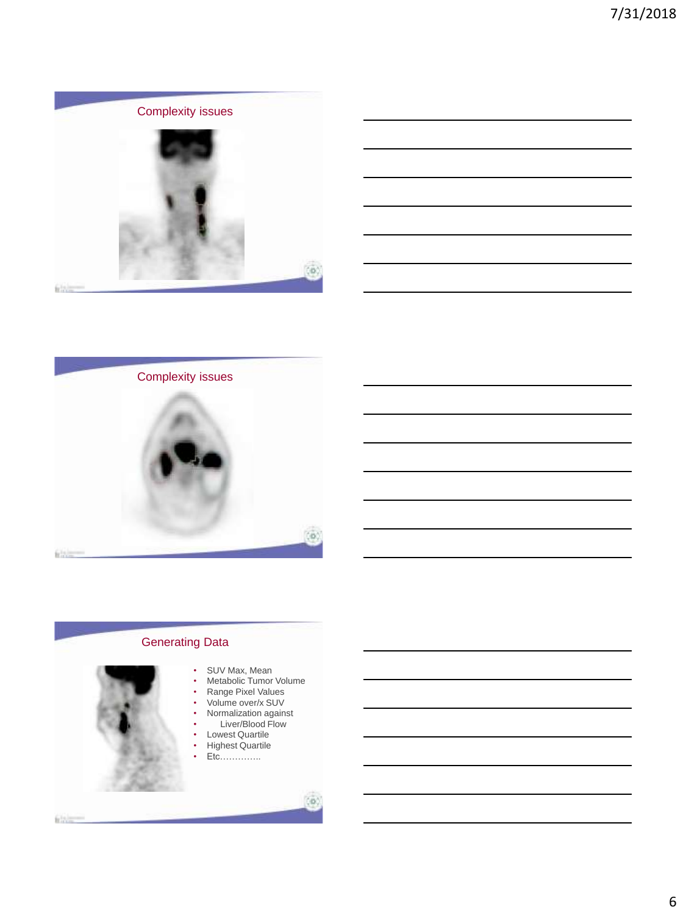





### Generating Data

- 
- 
- SUV Max, Mean<br>• Metabolic Tumor • Metabolic Tumor Volume
- Range Pixel Values
- Volume over/x SUV • Normalization against
- Liver/Blood Flow

CO.

- Lowest Quartile
- Highest Quartile
- Etc………….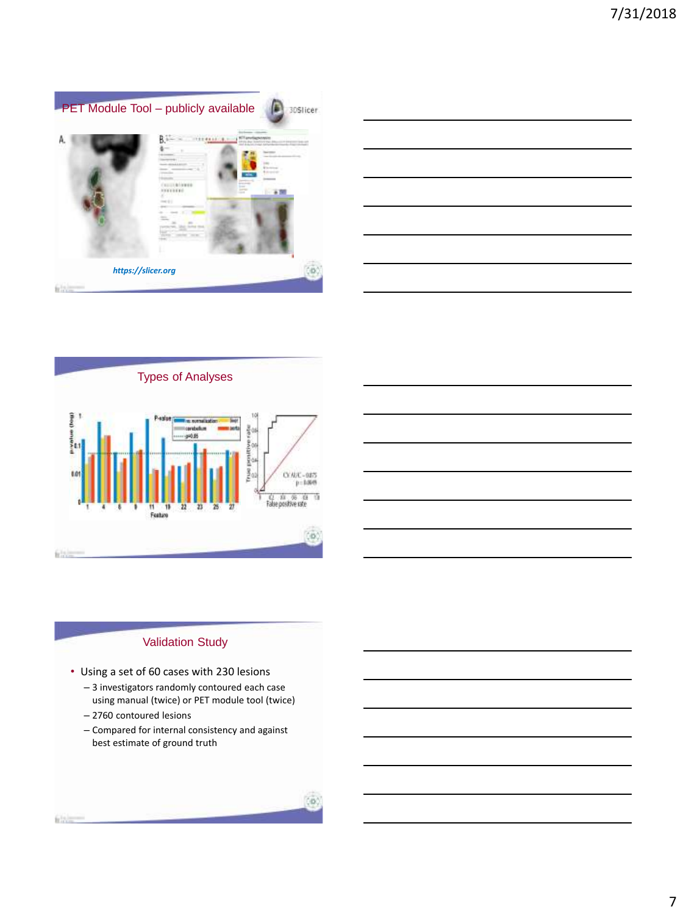







- Using a set of 60 cases with 230 lesions
	- 3 investigators randomly contoured each case using manual (twice) or PET module tool (twice)
	- 2760 contoured lesions
	- Compared for internal consistency and against best estimate of ground truth

filler-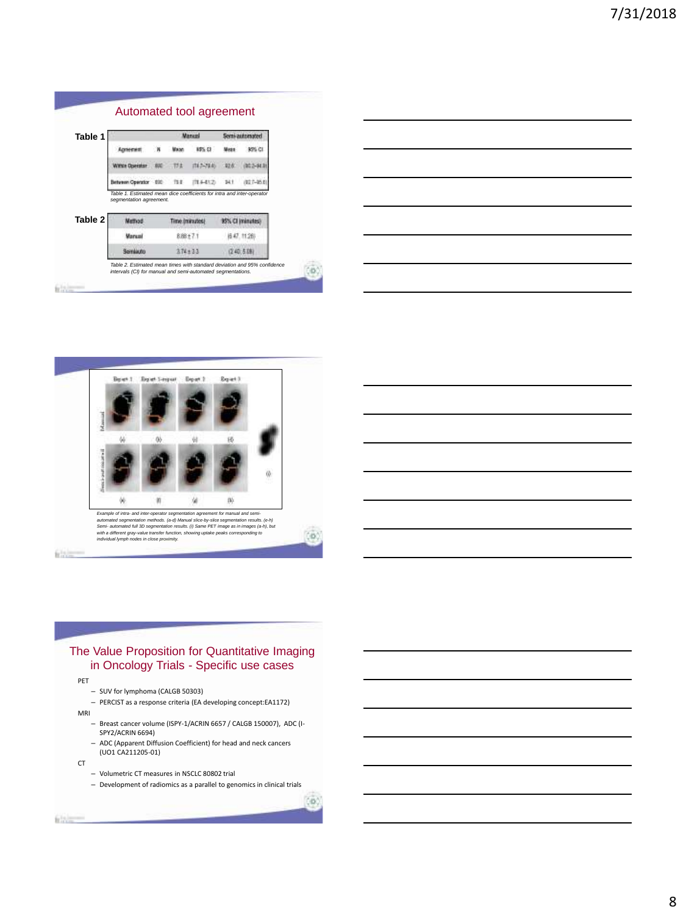| Table 1 |                                                                                                             |  | Manual         |                | Sorni automate |                  |
|---------|-------------------------------------------------------------------------------------------------------------|--|----------------|----------------|----------------|------------------|
|         |                                                                                                             |  |                | 15% 03         |                | 95% CI           |
|         | Within Operator 800 173                                                                                     |  |                | $114.2 - 24.4$ | $-426$         | <b>BG 2-B4</b>   |
|         | Between Operator 000                                                                                        |  | TS E-          | (TE4-412)      | 141            | (92.7-35.6)      |
| Table 2 | Table 1. Estimated mean dice coefficients for intra and inter-operator<br>segmentation agreement.<br>Method |  | Time (minutes) |                |                | 95% CI (minutes) |
|         |                                                                                                             |  | 8.88 ± 7 1     |                |                |                  |
|         | <b><i><u>Marqual</u></i></b>                                                                                |  |                |                |                | 647.1128         |

*Table 2. Estimated mean times with standard deviation and 95% confidence intervals (CI) for manual and semi-automated segmentations.*

 $(0)$ 

 $(0)$ 



### The Value Proposition for Quantitative Imaging in Oncology Trials - Specific use cases

PET

friting

- SUV for lymphoma (CALGB 50303)
- PERCIST as a response criteria (EA developing concept:EA1172)

MRI

- Breast cancer volume (ISPY-1/ACRIN 6657 / CALGB 150007), ADC (I-SPY2/ACRIN 6694)
- ADC (Apparent Diffusion Coefficient) for head and neck cancers (UO1 CA211205-01)

CT

- Volumetric CT measures in NSCLC 80802 trial
- Development of radiomics as a parallel to genomics in clinical trials

**Riverson**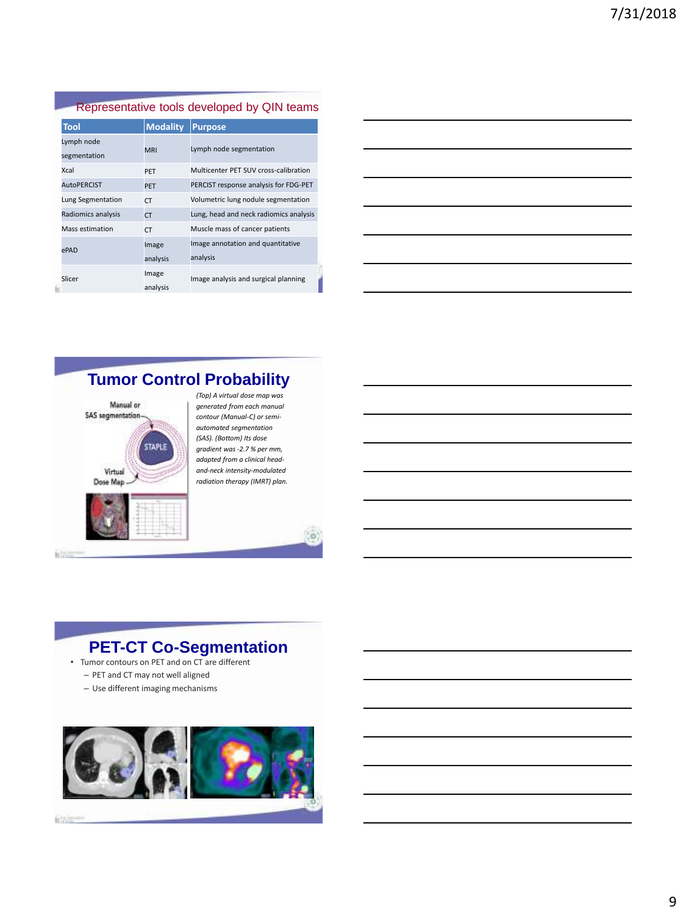### Representative tools developed by QIN teams

| <b>Tool</b>        | <b>Modality</b> | <b>Purpose</b>                         |  |  |
|--------------------|-----------------|----------------------------------------|--|--|
| Lymph node         | <b>MRI</b>      | Lymph node segmentation                |  |  |
| segmentation       |                 |                                        |  |  |
| Xcal               | PFT             | Multicenter PFT SUV cross-calibration  |  |  |
| <b>AutoPFRCIST</b> | <b>PFT</b>      | PERCIST response analysis for FDG-PET  |  |  |
| Lung Segmentation  | CT.             | Volumetric lung nodule segmentation    |  |  |
| Radiomics analysis | <b>CT</b>       | Lung, head and neck radiomics analysis |  |  |
| Mass estimation    | CT.             | Muscle mass of cancer patients         |  |  |
| ePAD               | Image           | Image annotation and quantitative      |  |  |
|                    | analysis        | analysis                               |  |  |
| Slicer             | Image           | Image analysis and surgical planning   |  |  |
|                    | analysis        |                                        |  |  |

| <u> 1989 - Johann Stoff, deutscher Stoffen und der Stoffen und der Stoffen und der Stoffen und der Stoffen und de</u> |  |  |  |
|-----------------------------------------------------------------------------------------------------------------------|--|--|--|
| <u> 1989 - Andrea Stadt Britain, amerikansk politiker (d. 1989)</u>                                                   |  |  |  |
| <u> 1989 - Johann Stoff, deutscher Stoff, der Stoff, der Stoff, der Stoff, der Stoff, der Stoff, der Stoff, der S</u> |  |  |  |
| <u> 1980 - Johann Barbara, martxa alemaniar argametar a martxa a shekara a shekara a shekara a shekara a shekara</u>  |  |  |  |
| <u> 1989 - Johann Barn, mars ann an t-Amhainn an t-Amhainn an t-Amhainn an t-Amhainn an t-Amhainn an t-Amhainn an</u> |  |  |  |
|                                                                                                                       |  |  |  |

### **Tumor Control Probability**



*(Top) A virtual dose map was generated from each manual contour (Manual-C) or semiautomated segmentation (SAS). (Bottom) Its dose gradient was -2.7 % per mm, adapted from a clinical headand-neck intensity-modulated radiation therapy (IMRT) plan.*

## **PET-CT Co-Segmentation**

- Tumor contours on PET and on CT are different – PET and CT may not well aligned
	- Use different imaging mechanisms

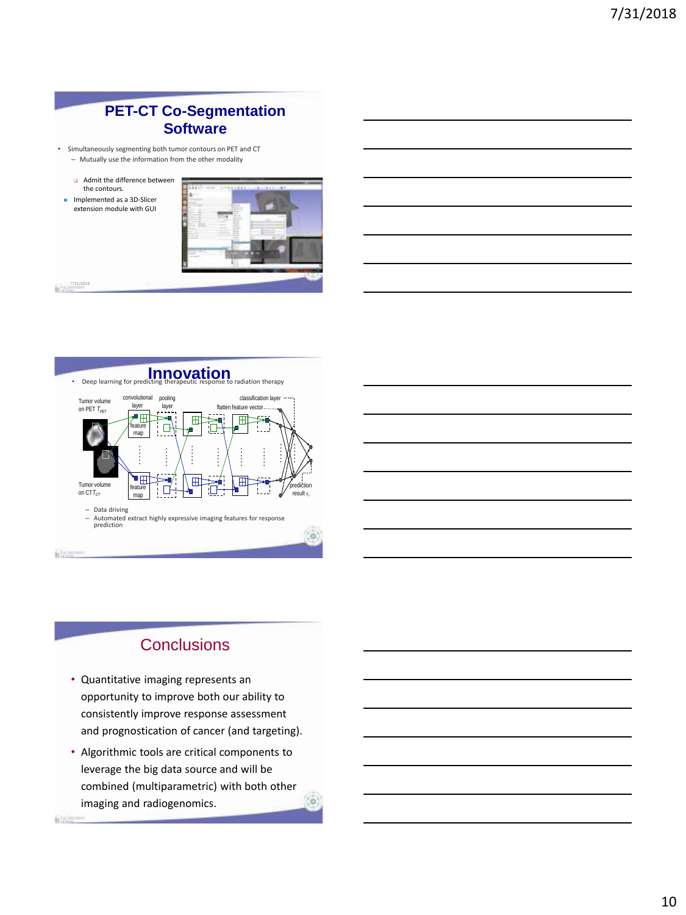### **PET-CT Co-Segmentation Software**

- Simultaneously segmenting both tumor contours on PET and CT
- Mutually use the information from the other modality
- Admit the difference between the contours.
- **Implemented as a 3D-Slicer** extension module with GUI



**filth** 



## **Conclusions**

- Quantitative imaging represents an opportunity to improve both our ability to consistently improve response assessment and prognostication of cancer (and targeting).
- Algorithmic tools are critical components to leverage the big data source and will be combined (multiparametric) with both other imaging and radiogenomics.ΞÜ.